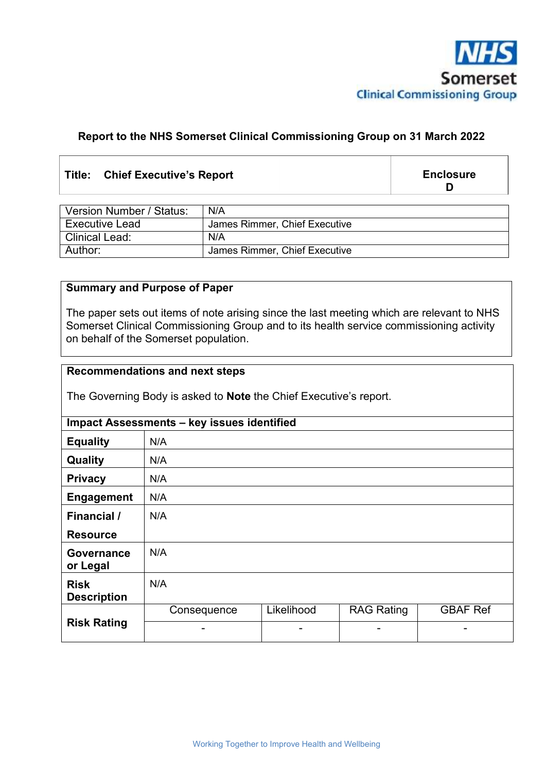

# **Report to the NHS Somerset Clinical Commissioning Group on 31 March 2022**

## **Title: Chief Executive's Report**

**Enclosure D** 

| Version Number / Status: | N/A                           |
|--------------------------|-------------------------------|
| <b>Executive Lead</b>    | James Rimmer, Chief Executive |
| <b>Clinical Lead:</b>    | N/A                           |
| Author:                  | James Rimmer, Chief Executive |

#### **Summary and Purpose of Paper**

The paper sets out items of note arising since the last meeting which are relevant to NHS Somerset Clinical Commissioning Group and to its health service commissioning activity on behalf of the Somerset population.

# **Recommendations and next steps**

The Governing Body is asked to **Note** the Chief Executive's report.

| Impact Assessments - key issues identified |             |            |                   |                 |  |  |
|--------------------------------------------|-------------|------------|-------------------|-----------------|--|--|
| <b>Equality</b>                            | N/A         |            |                   |                 |  |  |
| Quality                                    | N/A         |            |                   |                 |  |  |
| <b>Privacy</b>                             | N/A         |            |                   |                 |  |  |
| <b>Engagement</b>                          | N/A         |            |                   |                 |  |  |
| Financial /                                | N/A         |            |                   |                 |  |  |
| <b>Resource</b>                            |             |            |                   |                 |  |  |
| <b>Governance</b><br>or Legal              | N/A         |            |                   |                 |  |  |
| <b>Risk</b><br><b>Description</b>          | N/A         |            |                   |                 |  |  |
| <b>Risk Rating</b>                         | Consequence | Likelihood | <b>RAG Rating</b> | <b>GBAF Ref</b> |  |  |
|                                            | -           | -          | -                 |                 |  |  |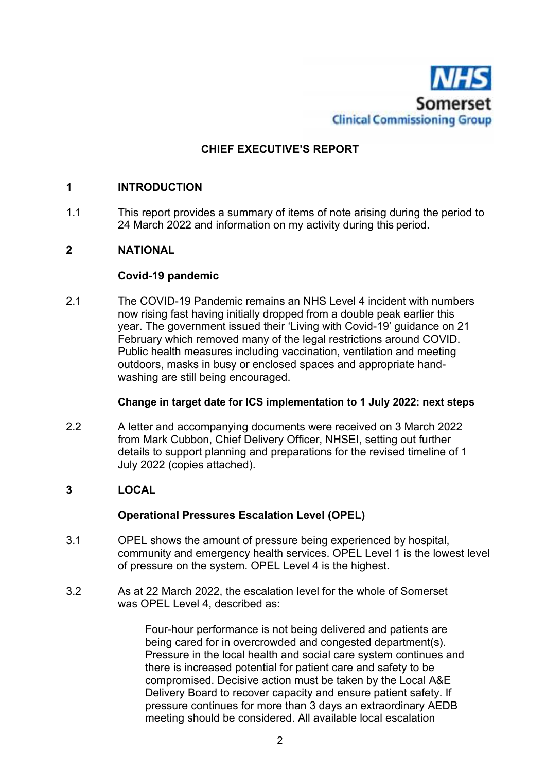

# **CHIEF EXECUTIVE'S REPORT**

## **1 INTRODUCTION**

1.1 This report provides a summary of items of note arising during the period to 24 March 2022 and information on my activity during this period.

## **2 NATIONAL**

## **Covid-19 pandemic**

2.1 The COVID-19 Pandemic remains an NHS Level 4 incident with numbers now rising fast having initially dropped from a double peak earlier this year. The government issued their 'Living with Covid-19' guidance on 21 February which removed many of the legal restrictions around COVID. Public health measures including vaccination, ventilation and meeting outdoors, masks in busy or enclosed spaces and appropriate handwashing are still being encouraged.

## **Change in target date for ICS implementation to 1 July 2022: next steps**

2.2 A letter and accompanying documents were received on 3 March 2022 from Mark Cubbon, Chief Delivery Officer, NHSEI, setting out further details to support planning and preparations for the revised timeline of 1 July 2022 (copies attached).

## **3 LOCAL**

## **Operational Pressures Escalation Level (OPEL)**

- 3.1 OPEL shows the amount of pressure being experienced by hospital, community and emergency health services. OPEL Level 1 is the lowest level of pressure on the system. OPEL Level 4 is the highest.
- 3.2 As at 22 March 2022, the escalation level for the whole of Somerset was OPEL Level 4, described as:

Four-hour performance is not being delivered and patients are being cared for in overcrowded and congested department(s). Pressure in the local health and social care system continues and there is increased potential for patient care and safety to be compromised. Decisive action must be taken by the Local A&E Delivery Board to recover capacity and ensure patient safety. If pressure continues for more than 3 days an extraordinary AEDB meeting should be considered. All available local escalation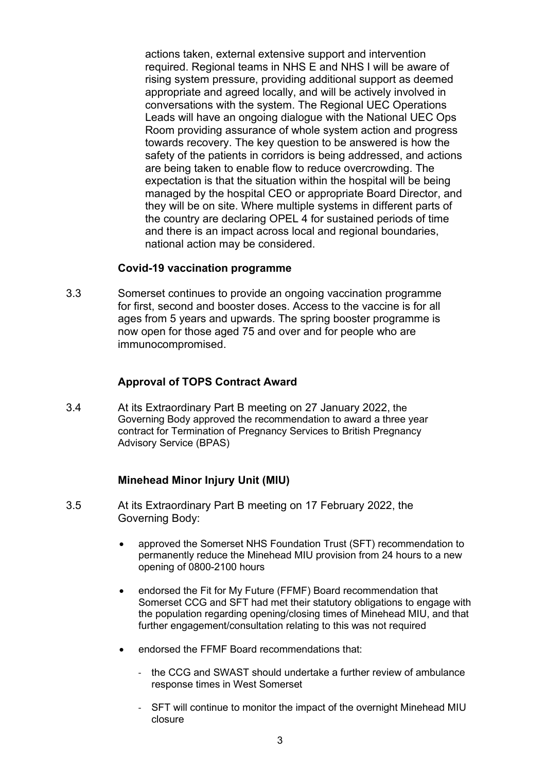actions taken, external extensive support and intervention required. Regional teams in NHS E and NHS I will be aware of rising system pressure, providing additional support as deemed appropriate and agreed locally, and will be actively involved in conversations with the system. The Regional UEC Operations Leads will have an ongoing dialogue with the National UEC Ops Room providing assurance of whole system action and progress towards recovery. The key question to be answered is how the safety of the patients in corridors is being addressed, and actions are being taken to enable flow to reduce overcrowding. The expectation is that the situation within the hospital will be being managed by the hospital CEO or appropriate Board Director, and they will be on site. Where multiple systems in different parts of the country are declaring OPEL 4 for sustained periods of time and there is an impact across local and regional boundaries, national action may be considered.

#### **Covid-19 vaccination programme**

3.3 Somerset continues to provide an ongoing vaccination programme for first, second and booster doses. Access to the vaccine is for all ages from 5 years and upwards. The spring booster programme is now open for those aged 75 and over and for people who are immunocompromised.

#### **Approval of TOPS Contract Award**

3.4 At its Extraordinary Part B meeting on 27 January 2022, the Governing Body approved the recommendation to award a three year contract for Termination of Pregnancy Services to British Pregnancy Advisory Service (BPAS)

#### **Minehead Minor Injury Unit (MIU)**

- 3.5 At its Extraordinary Part B meeting on 17 February 2022, the Governing Body:
	- approved the Somerset NHS Foundation Trust (SFT) recommendation to permanently reduce the Minehead MIU provision from 24 hours to a new opening of 0800-2100 hours
	- endorsed the Fit for My Future (FFMF) Board recommendation that Somerset CCG and SFT had met their statutory obligations to engage with the population regarding opening/closing times of Minehead MIU, and that further engagement/consultation relating to this was not required
	- endorsed the FFMF Board recommendations that:
		- the CCG and SWAST should undertake a further review of ambulance response times in West Somerset
		- SFT will continue to monitor the impact of the overnight Minehead MIU closure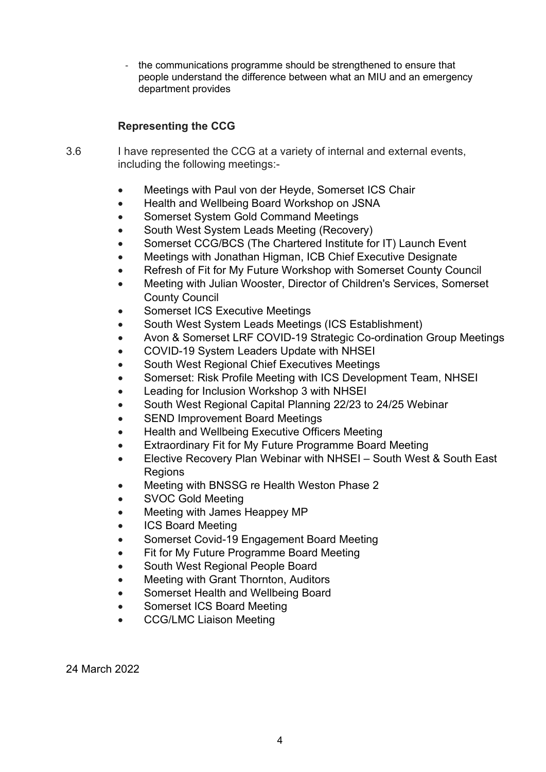- the communications programme should be strengthened to ensure that people understand the difference between what an MIU and an emergency department provides

# **Representing the CCG**

- 3.6 I have represented the CCG at a variety of internal and external events, including the following meetings:-
	- Meetings with Paul von der Heyde, Somerset ICS Chair
	- Health and Wellbeing Board Workshop on JSNA
	- Somerset System Gold Command Meetings
	- South West System Leads Meeting (Recovery)
	- Somerset CCG/BCS (The Chartered Institute for IT) Launch Event
	- Meetings with Jonathan Higman, ICB Chief Executive Designate
	- Refresh of Fit for My Future Workshop with Somerset County Council
	- Meeting with Julian Wooster, Director of Children's Services, Somerset County Council
	- Somerset ICS Executive Meetings
	- South West System Leads Meetings (ICS Establishment)
	- Avon & Somerset LRF COVID-19 Strategic Co-ordination Group Meetings
	- COVID-19 System Leaders Update with NHSEI
	- South West Regional Chief Executives Meetings
	- Somerset: Risk Profile Meeting with ICS Development Team, NHSEI
	- Leading for Inclusion Workshop 3 with NHSEI
	- South West Regional Capital Planning 22/23 to 24/25 Webinar
	- SEND Improvement Board Meetings
	- Health and Wellbeing Executive Officers Meeting
	- Extraordinary Fit for My Future Programme Board Meeting
	- Elective Recovery Plan Webinar with NHSEI South West & South East Regions
	- Meeting with BNSSG re Health Weston Phase 2
	- SVOC Gold Meeting
	- Meeting with James Heappey MP
	- ICS Board Meeting
	- Somerset Covid-19 Engagement Board Meeting
	- Fit for My Future Programme Board Meeting
	- South West Regional People Board
	- Meeting with Grant Thornton, Auditors
	- Somerset Health and Wellbeing Board
	- Somerset ICS Board Meeting
	- CCG/LMC Liaison Meeting

24 March 2022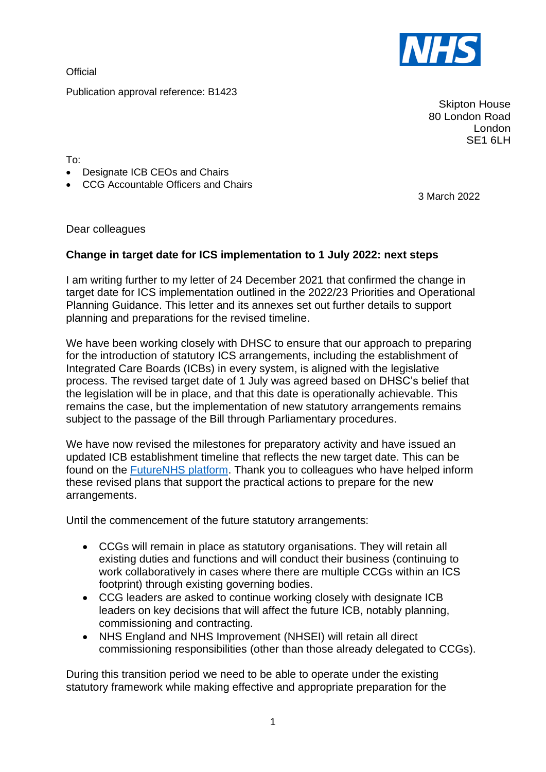**Official** 

Publication approval reference: B1423

Skipton House 80 London Road London SE<sub>1</sub> 6LH

To:

- Designate ICB CEOs and Chairs
- CCG Accountable Officers and Chairs

3 March 2022

Dear colleagues

## **Change in target date for ICS implementation to 1 July 2022: next steps**

I am writing further to my letter of 24 December 2021 that confirmed the change in target date for ICS implementation outlined in the 2022/23 Priorities and Operational Planning Guidance. This letter and its annexes set out further details to support planning and preparations for the revised timeline.

We have been working closely with DHSC to ensure that our approach to preparing for the introduction of statutory ICS arrangements, including the establishment of Integrated Care Boards (ICBs) in every system, is aligned with the legislative process. The revised target date of 1 July was agreed based on DHSC's belief that the legislation will be in place, and that this date is operationally achievable. This remains the case, but the implementation of new statutory arrangements remains subject to the passage of the Bill through Parliamentary procedures.

We have now revised the milestones for preparatory activity and have issued an updated ICB establishment timeline that reflects the new target date. This can be found on the [FutureNHS platform.](https://future.nhs.uk/ICSGuidance/viewdocument?docid=113833861) Thank you to colleagues who have helped inform these revised plans that support the practical actions to prepare for the new arrangements.

Until the commencement of the future statutory arrangements:

- CCGs will remain in place as statutory organisations. They will retain all existing duties and functions and will conduct their business (continuing to work collaboratively in cases where there are multiple CCGs within an ICS footprint) through existing governing bodies.
- CCG leaders are asked to continue working closely with designate ICB leaders on key decisions that will affect the future ICB, notably planning, commissioning and contracting.
- NHS England and NHS Improvement (NHSEI) will retain all direct commissioning responsibilities (other than those already delegated to CCGs).

During this transition period we need to be able to operate under the existing statutory framework while making effective and appropriate preparation for the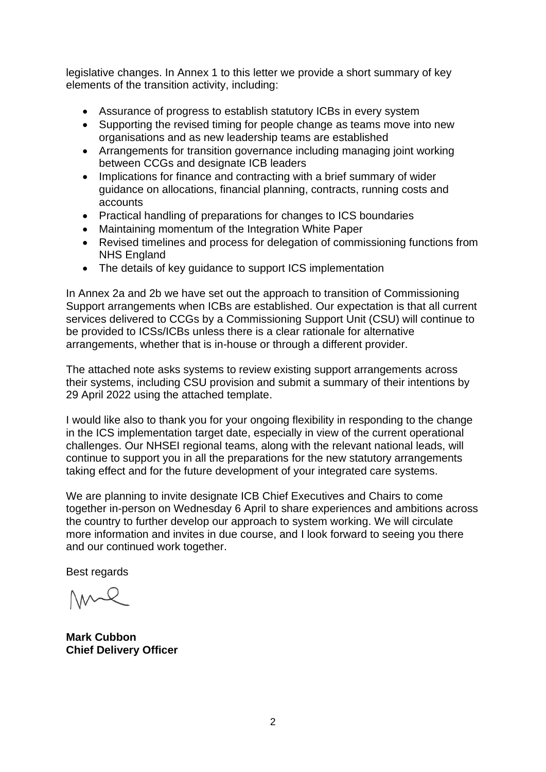legislative changes. In Annex 1 to this letter we provide a short summary of key elements of the transition activity, including:

- Assurance of progress to establish statutory ICBs in every system
- Supporting the revised timing for people change as teams move into new organisations and as new leadership teams are established
- Arrangements for transition governance including managing joint working between CCGs and designate ICB leaders
- Implications for finance and contracting with a brief summary of wider guidance on allocations, financial planning, contracts, running costs and accounts
- Practical handling of preparations for changes to ICS boundaries
- Maintaining momentum of the Integration White Paper
- Revised timelines and process for delegation of commissioning functions from NHS England
- The details of key quidance to support ICS implementation

In Annex 2a and 2b we have set out the approach to transition of Commissioning Support arrangements when ICBs are established. Our expectation is that all current services delivered to CCGs by a Commissioning Support Unit (CSU) will continue to be provided to ICSs/ICBs unless there is a clear rationale for alternative arrangements, whether that is in-house or through a different provider.

The attached note asks systems to review existing support arrangements across their systems, including CSU provision and submit a summary of their intentions by 29 April 2022 using the attached template.

I would like also to thank you for your ongoing flexibility in responding to the change in the ICS implementation target date, especially in view of the current operational challenges. Our NHSEI regional teams, along with the relevant national leads, will continue to support you in all the preparations for the new statutory arrangements taking effect and for the future development of your integrated care systems.

We are planning to invite designate ICB Chief Executives and Chairs to come together in-person on Wednesday 6 April to share experiences and ambitions across the country to further develop our approach to system working. We will circulate more information and invites in due course, and I look forward to seeing you there and our continued work together.

Best regards

**Mark Cubbon Chief Delivery Officer**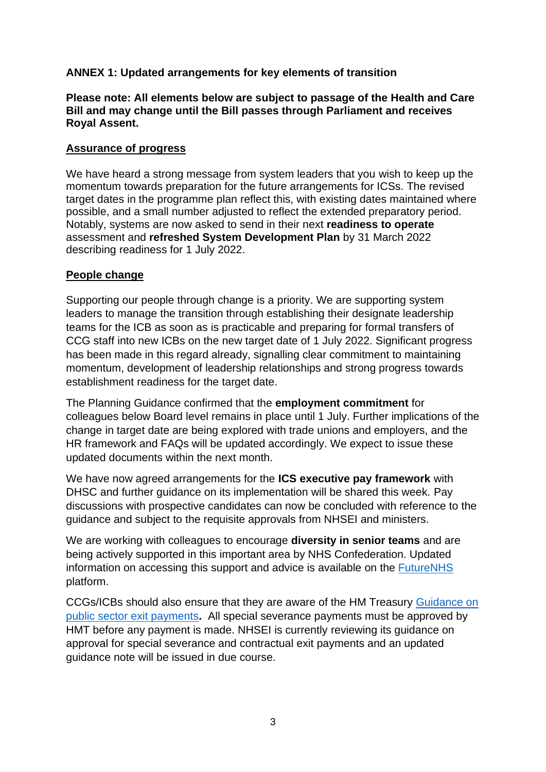# **ANNEX 1: Updated arrangements for key elements of transition**

**Please note: All elements below are subject to passage of the Health and Care Bill and may change until the Bill passes through Parliament and receives Royal Assent.**

## **Assurance of progress**

We have heard a strong message from system leaders that you wish to keep up the momentum towards preparation for the future arrangements for ICSs. The revised target dates in the programme plan reflect this, with existing dates maintained where possible, and a small number adjusted to reflect the extended preparatory period. Notably, systems are now asked to send in their next **readiness to operate** assessment and **refreshed System Development Plan** by 31 March 2022 describing readiness for 1 July 2022.

## **People change**

Supporting our people through change is a priority. We are supporting system leaders to manage the transition through establishing their designate leadership teams for the ICB as soon as is practicable and preparing for formal transfers of CCG staff into new ICBs on the new target date of 1 July 2022. Significant progress has been made in this regard already, signalling clear commitment to maintaining momentum, development of leadership relationships and strong progress towards establishment readiness for the target date.

The Planning Guidance confirmed that the **employment commitment** for colleagues below Board level remains in place until 1 July. Further implications of the change in target date are being explored with trade unions and employers, and the HR framework and FAQs will be updated accordingly. We expect to issue these updated documents within the next month.

We have now agreed arrangements for the **ICS executive pay framework** with DHSC and further guidance on its implementation will be shared this week. Pay discussions with prospective candidates can now be concluded with reference to the guidance and subject to the requisite approvals from NHSEI and ministers.

We are working with colleagues to encourage **diversity in senior teams** and are being actively supported in this important area by NHS Confederation. Updated information on accessing this support and advice is available on the [FutureNHS](https://future.nhs.uk/ICSGuidance/grouphome) platform.

CCGs/ICBs should also ensure that they are aware of the HM Treasury [Guidance on](https://nhsengland.sharepoint.com/TeamCentre/Finance/FinancialControl/Pages/GCh23.aspx)  [public sector exit payments](https://nhsengland.sharepoint.com/TeamCentre/Finance/FinancialControl/Pages/GCh23.aspx)**.** All special severance payments must be approved by HMT before any payment is made. NHSEI is currently reviewing its guidance on approval for special severance and contractual exit payments and an updated guidance note will be issued in due course.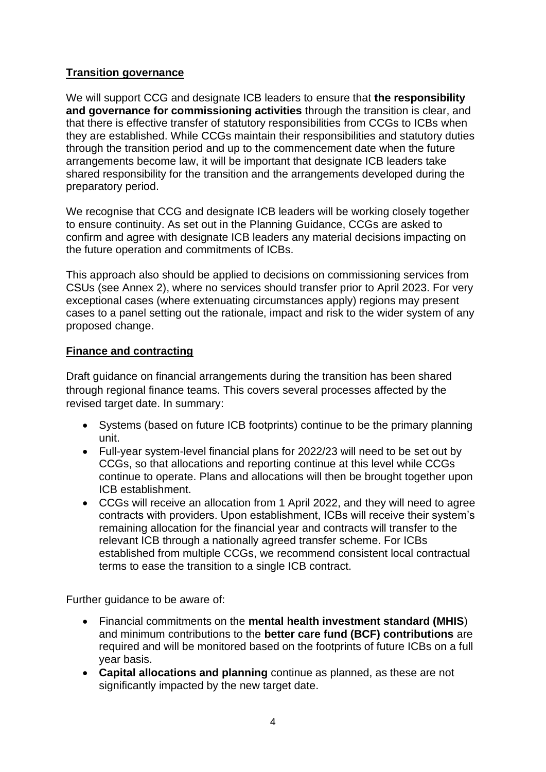# **Transition governance**

We will support CCG and designate ICB leaders to ensure that **the responsibility and governance for commissioning activities** through the transition is clear, and that there is effective transfer of statutory responsibilities from CCGs to ICBs when they are established. While CCGs maintain their responsibilities and statutory duties through the transition period and up to the commencement date when the future arrangements become law, it will be important that designate ICB leaders take shared responsibility for the transition and the arrangements developed during the preparatory period.

We recognise that CCG and designate ICB leaders will be working closely together to ensure continuity. As set out in the Planning Guidance, CCGs are asked to confirm and agree with designate ICB leaders any material decisions impacting on the future operation and commitments of ICBs.

This approach also should be applied to decisions on commissioning services from CSUs (see Annex 2), where no services should transfer prior to April 2023. For very exceptional cases (where extenuating circumstances apply) regions may present cases to a panel setting out the rationale, impact and risk to the wider system of any proposed change.

## **Finance and contracting**

Draft guidance on financial arrangements during the transition has been shared through regional finance teams. This covers several processes affected by the revised target date. In summary:

- Systems (based on future ICB footprints) continue to be the primary planning unit.
- Full-year system-level financial plans for 2022/23 will need to be set out by CCGs, so that allocations and reporting continue at this level while CCGs continue to operate. Plans and allocations will then be brought together upon ICB establishment.
- CCGs will receive an allocation from 1 April 2022, and they will need to agree contracts with providers. Upon establishment, ICBs will receive their system's remaining allocation for the financial year and contracts will transfer to the relevant ICB through a nationally agreed transfer scheme. For ICBs established from multiple CCGs, we recommend consistent local contractual terms to ease the transition to a single ICB contract.

Further guidance to be aware of:

- Financial commitments on the **mental health investment standard (MHIS**) and minimum contributions to the **better care fund (BCF) contributions** are required and will be monitored based on the footprints of future ICBs on a full year basis.
- **Capital allocations and planning** continue as planned, as these are not significantly impacted by the new target date.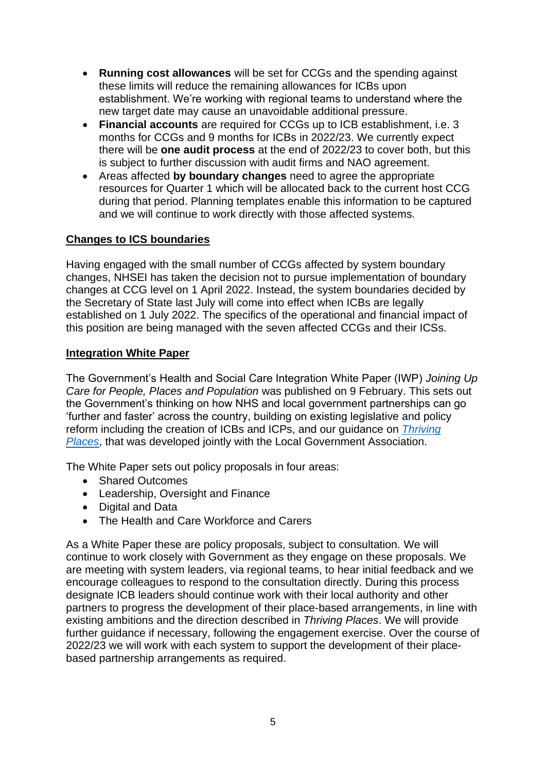- **Running cost allowances** will be set for CCGs and the spending against these limits will reduce the remaining allowances for ICBs upon establishment. We're working with regional teams to understand where the new target date may cause an unavoidable additional pressure.
- **Financial accounts** are required for CCGs up to ICB establishment, i.e. 3 months for CCGs and 9 months for ICBs in 2022/23. We currently expect there will be **one audit process** at the end of 2022/23 to cover both, but this is subject to further discussion with audit firms and NAO agreement.
- Areas affected **by boundary changes** need to agree the appropriate resources for Quarter 1 which will be allocated back to the current host CCG during that period. Planning templates enable this information to be captured and we will continue to work directly with those affected systems.

# **Changes to ICS boundaries**

Having engaged with the small number of CCGs affected by system boundary changes, NHSEI has taken the decision not to pursue implementation of boundary changes at CCG level on 1 April 2022. Instead, the system boundaries decided by the Secretary of State last July will come into effect when ICBs are legally established on 1 July 2022. The specifics of the operational and financial impact of this position are being managed with the seven affected CCGs and their ICSs.

## **Integration White Paper**

The Government's Health and Social Care Integration White Paper (IWP) *Joining Up Care for People, Places and Population* was published on 9 February. This sets out the Government's thinking on how NHS and local government partnerships can go 'further and faster' across the country, building on existing legislative and policy reform including the creation of ICBs and ICPs, and our guidance on *[Thriving](https://www.england.nhs.uk/wp-content/uploads/2021/06/B0660-ics-implementation-guidance-on-thriving-places.pdf)  [Places](https://www.england.nhs.uk/wp-content/uploads/2021/06/B0660-ics-implementation-guidance-on-thriving-places.pdf)*, that was developed jointly with the Local Government Association.

The White Paper sets out policy proposals in four areas:

- Shared Outcomes
- Leadership, Oversight and Finance
- Digital and Data
- The Health and Care Workforce and Carers

As a White Paper these are policy proposals, subject to consultation. We will continue to work closely with Government as they engage on these proposals. We are meeting with system leaders, via regional teams, to hear initial feedback and we encourage colleagues to respond to the consultation directly. During this process designate ICB leaders should continue work with their local authority and other partners to progress the development of their place-based arrangements, in line with existing ambitions and the direction described in *Thriving Places*. We will provide further guidance if necessary, following the engagement exercise. Over the course of 2022/23 we will work with each system to support the development of their placebased partnership arrangements as required.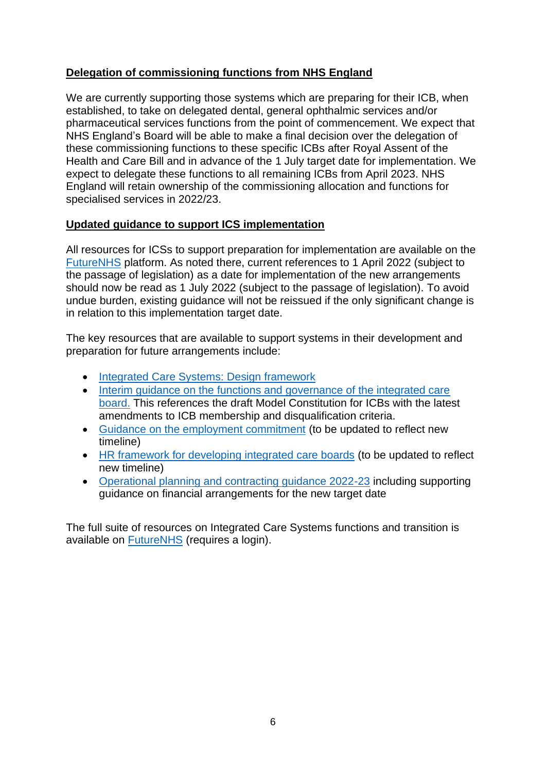# **Delegation of commissioning functions from NHS England**

We are currently supporting those systems which are preparing for their ICB, when established, to take on delegated dental, general ophthalmic services and/or pharmaceutical services functions from the point of commencement. We expect that NHS England's Board will be able to make a final decision over the delegation of these commissioning functions to these specific ICBs after Royal Assent of the Health and Care Bill and in advance of the 1 July target date for implementation. We expect to delegate these functions to all remaining ICBs from April 2023. NHS England will retain ownership of the commissioning allocation and functions for specialised services in 2022/23.

# **Updated guidance to support ICS implementation**

All resources for ICSs to support preparation for implementation are available on the [FutureNHS](https://future.nhs.uk/ICSGuidance/grouphome) platform. As noted there, current references to 1 April 2022 (subject to the passage of legislation) as a date for implementation of the new arrangements should now be read as 1 July 2022 (subject to the passage of legislation). To avoid undue burden, existing guidance will not be reissued if the only significant change is in relation to this implementation target date.

The key resources that are available to support systems in their development and preparation for future arrangements include:

- [Integrated Care Systems: Design framework](https://www.england.nhs.uk/wp-content/uploads/2021/06/B0642-ics-design-framework-june-2021.pdf)
- [Interim guidance on the functions and governance of the integrated care](https://www.england.nhs.uk/wp-content/uploads/2021/06/B0886_Interim-guidance-on-the-functions-and-governance-of-the-integrated-care-board-August-2021.pdf)  [board.](https://www.england.nhs.uk/wp-content/uploads/2021/06/B0886_Interim-guidance-on-the-functions-and-governance-of-the-integrated-care-board-August-2021.pdf) This references the draft Model Constitution for ICBs with the latest amendments to ICB membership and disqualification criteria.
- [Guidance on the employment commitment](https://www.england.nhs.uk/wp-content/uploads/2021/06/B0724-employment-commitment-guidance-supporting-ics-v1.pdf) (to be updated to reflect new timeline)
- [HR framework for developing integrated care boards](https://www.england.nhs.uk/wp-content/uploads/2021/06/B0790_ICS_HR-Framework-Technical-Guidance_FINAL18Aug.pdf) (to be updated to reflect new timeline)
- [Operational planning and contracting guidance 2022-23](https://www.england.nhs.uk/operational-planning-and-contracting/) including supporting guidance on financial arrangements for the new target date

The full suite of resources on Integrated Care Systems functions and transition is available on [FutureNHS](https://future.nhs.uk/ICSGuidance/grouphome) (requires a login).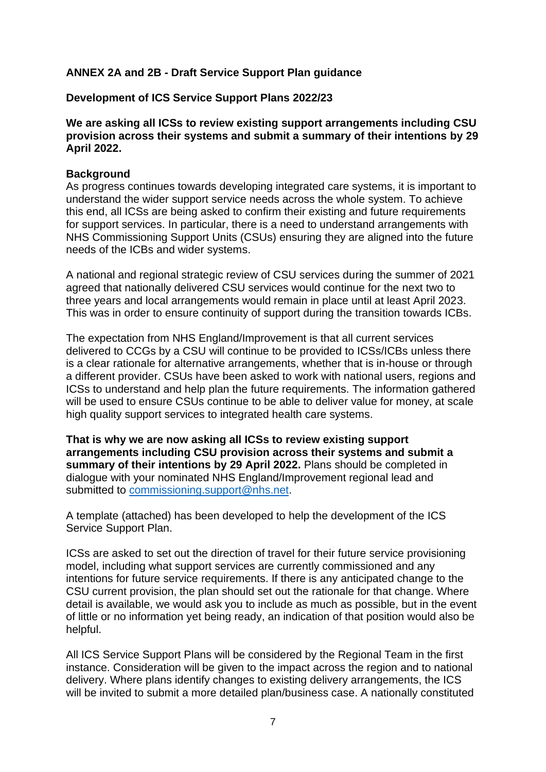## **ANNEX 2A and 2B - Draft Service Support Plan guidance**

#### **Development of ICS Service Support Plans 2022/23**

**We are asking all ICSs to review existing support arrangements including CSU provision across their systems and submit a summary of their intentions by 29 April 2022.**

#### **Background**

As progress continues towards developing integrated care systems, it is important to understand the wider support service needs across the whole system. To achieve this end, all ICSs are being asked to confirm their existing and future requirements for support services. In particular, there is a need to understand arrangements with NHS Commissioning Support Units (CSUs) ensuring they are aligned into the future needs of the ICBs and wider systems.

A national and regional strategic review of CSU services during the summer of 2021 agreed that nationally delivered CSU services would continue for the next two to three years and local arrangements would remain in place until at least April 2023. This was in order to ensure continuity of support during the transition towards ICBs.

The expectation from NHS England/Improvement is that all current services delivered to CCGs by a CSU will continue to be provided to ICSs/ICBs unless there is a clear rationale for alternative arrangements, whether that is in-house or through a different provider. CSUs have been asked to work with national users, regions and ICSs to understand and help plan the future requirements. The information gathered will be used to ensure CSUs continue to be able to deliver value for money, at scale high quality support services to integrated health care systems.

**That is why we are now asking all ICSs to review existing support arrangements including CSU provision across their systems and submit a summary of their intentions by 29 April 2022.** Plans should be completed in dialogue with your nominated NHS England/Improvement regional lead and submitted to [commissioning.support@nhs.net.](mailto:commissioning.support@nhs.net)

A template (attached) has been developed to help the development of the ICS Service Support Plan.

ICSs are asked to set out the direction of travel for their future service provisioning model, including what support services are currently commissioned and any intentions for future service requirements. If there is any anticipated change to the CSU current provision, the plan should set out the rationale for that change. Where detail is available, we would ask you to include as much as possible, but in the event of little or no information yet being ready, an indication of that position would also be helpful.

All ICS Service Support Plans will be considered by the Regional Team in the first instance. Consideration will be given to the impact across the region and to national delivery. Where plans identify changes to existing delivery arrangements, the ICS will be invited to submit a more detailed plan/business case. A nationally constituted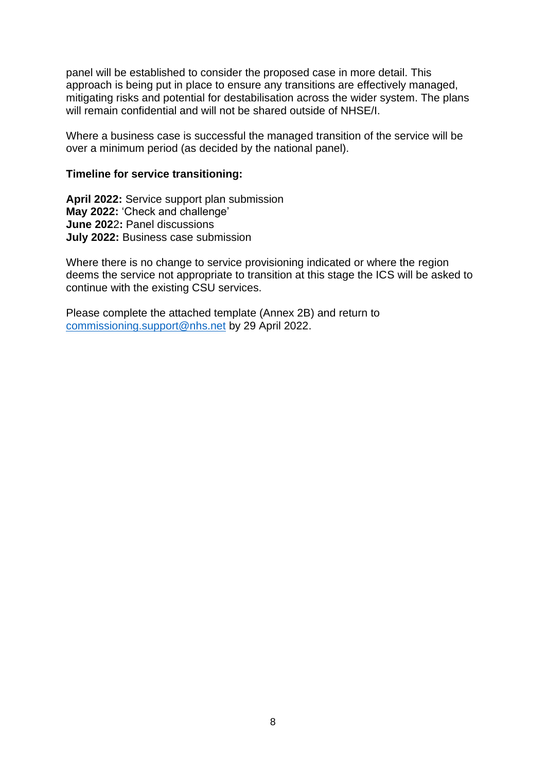panel will be established to consider the proposed case in more detail. This approach is being put in place to ensure any transitions are effectively managed, mitigating risks and potential for destabilisation across the wider system. The plans will remain confidential and will not be shared outside of NHSE/I.

Where a business case is successful the managed transition of the service will be over a minimum period (as decided by the national panel).

#### **Timeline for service transitioning:**

**April 2022:** Service support plan submission **May 2022:** 'Check and challenge' **June 202**2**:** Panel discussions **July 2022:** Business case submission

Where there is no change to service provisioning indicated or where the region deems the service not appropriate to transition at this stage the ICS will be asked to continue with the existing CSU services.

Please complete the attached template (Annex 2B) and return to [commissioning.support@nhs.net](mailto:commissioning.support@nhs.net) by 29 April 2022.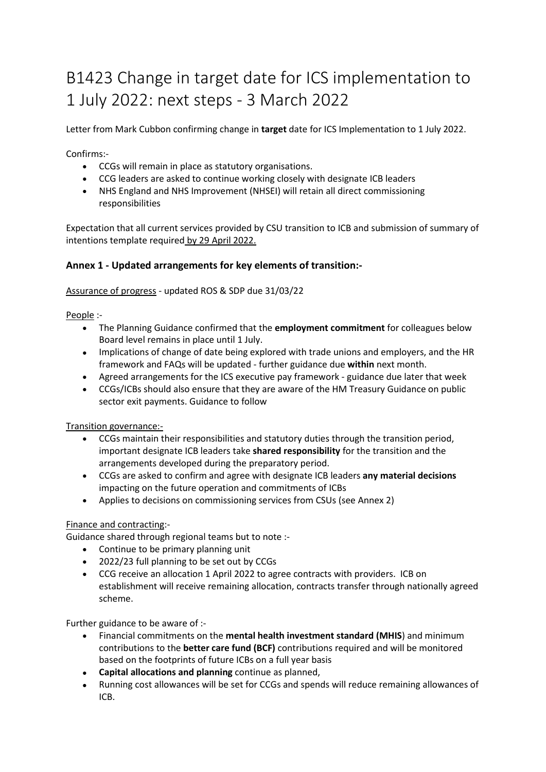# B1423 Change in target date for ICS implementation to 1 July 2022: next steps - 3 March 2022

Letter from Mark Cubbon confirming change in **target** date for ICS Implementation to 1 July 2022.

Confirms:-

- CCGs will remain in place as statutory organisations.
- CCG leaders are asked to continue working closely with designate ICB leaders
- NHS England and NHS Improvement (NHSEI) will retain all direct commissioning responsibilities

Expectation that all current services provided by CSU transition to ICB and submission of summary of intentions template required by 29 April 2022.

#### **Annex 1 - Updated arrangements for key elements of transition:-**

Assurance of progress - updated ROS & SDP due 31/03/22

People :-

- The Planning Guidance confirmed that the **employment commitment** for colleagues below Board level remains in place until 1 July.
- Implications of change of date being explored with trade unions and employers, and the HR framework and FAQs will be updated - further guidance due **within** next month.
- Agreed arrangements for the ICS executive pay framework guidance due later that week
- CCGs/ICBs should also ensure that they are aware of the HM Treasury Guidance on public sector exit payments. Guidance to follow

Transition governance:-

- CCGs maintain their responsibilities and statutory duties through the transition period, important designate ICB leaders take **shared responsibility** for the transition and the arrangements developed during the preparatory period.
- CCGs are asked to confirm and agree with designate ICB leaders **any material decisions** impacting on the future operation and commitments of ICBs
- Applies to decisions on commissioning services from CSUs (see Annex 2)

#### Finance and contracting:-

Guidance shared through regional teams but to note :-

- Continue to be primary planning unit
- 2022/23 full planning to be set out by CCGs
- CCG receive an allocation 1 April 2022 to agree contracts with providers. ICB on establishment will receive remaining allocation, contracts transfer through nationally agreed scheme.

Further guidance to be aware of :-

- Financial commitments on the **mental health investment standard (MHIS**) and minimum contributions to the **better care fund (BCF)** contributions required and will be monitored based on the footprints of future ICBs on a full year basis
- **Capital allocations and planning** continue as planned,
- Running cost allowances will be set for CCGs and spends will reduce remaining allowances of ICB.